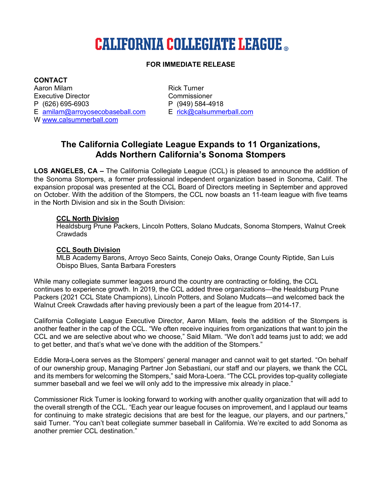# **CALIFORNIA COLLEGIATE LEAGUE ..**

## **FOR IMMEDIATE RELEASE**

**CONTACT** Aaron Milam **Rick Turner** Executive Director **Commissioner** Commissioner P (626) 695-6903 P (949) 584-4918 E amilam@arroyosecobaseball.com E rick@calsummerball.com W www.calsummerball.com

# **The California Collegiate League Expands to 11 Organizations, Adds Northern California's Sonoma Stompers**

**LOS ANGELES, CA –** The California Collegiate League (CCL) is pleased to announce the addition of the Sonoma Stompers, a former professional independent organization based in Sonoma, Calif. The expansion proposal was presented at the CCL Board of Directors meeting in September and approved on October. With the addition of the Stompers, the CCL now boasts an 11-team league with five teams in the North Division and six in the South Division:

#### **CCL North Division**

Healdsburg Prune Packers, Lincoln Potters, Solano Mudcats, Sonoma Stompers, Walnut Creek Crawdads

#### **CCL South Division**

MLB Academy Barons, Arroyo Seco Saints, Conejo Oaks, Orange County Riptide, San Luis Obispo Blues, Santa Barbara Foresters

While many collegiate summer leagues around the country are contracting or folding, the CCL continues to experience growth. In 2019, the CCL added three organizations—the Healdsburg Prune Packers (2021 CCL State Champions), Lincoln Potters, and Solano Mudcats—and welcomed back the Walnut Creek Crawdads after having previously been a part of the league from 2014-17.

California Collegiate League Executive Director, Aaron Milam, feels the addition of the Stompers is another feather in the cap of the CCL. "We often receive inquiries from organizations that want to join the CCL and we are selective about who we choose," Said Milam. "We don't add teams just to add; we add to get better, and that's what we've done with the addition of the Stompers."

Eddie Mora-Loera serves as the Stompers' general manager and cannot wait to get started. "On behalf of our ownership group, Managing Partner Jon Sebastiani, our staff and our players, we thank the CCL and its members for welcoming the Stompers," said Mora-Loera. "The CCL provides top-quality collegiate summer baseball and we feel we will only add to the impressive mix already in place."

Commissioner Rick Turner is looking forward to working with another quality organization that will add to the overall strength of the CCL. "Each year our league focuses on improvement, and I applaud our teams for continuing to make strategic decisions that are best for the league, our players, and our partners," said Turner. "You can't beat collegiate summer baseball in California. We're excited to add Sonoma as another premier CCL destination."